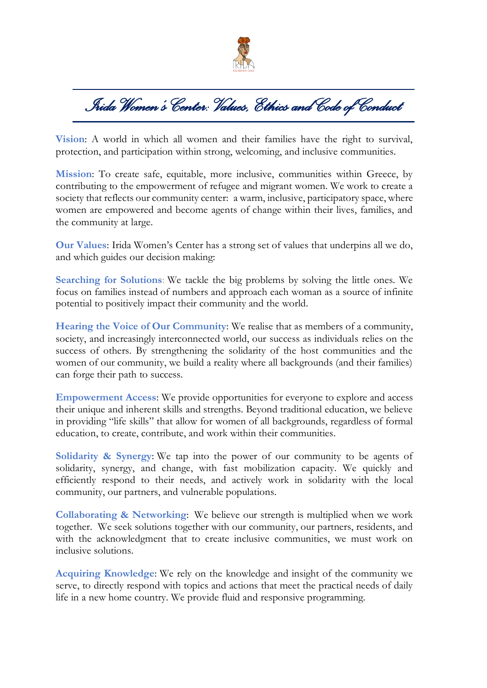

*Irida Women's Center: Values, Ethics and Code of Conduct* 

**Vision**: A world in which all women and their families have the right to survival, protection, and participation within strong, welcoming, and inclusive communities.

**Mission**: To create safe, equitable, more inclusive, communities within Greece, by contributing to the empowerment of refugee and migrant women. We work to create a society that reflects our community center: a warm, inclusive, participatory space, where women are empowered and become agents of change within their lives, families, and the community at large.

**Our Values**: Irida Women's Center has a strong set of values that underpins all we do, and which guides our decision making:

**Searching for Solutions**: We tackle the big problems by solving the little ones. We focus on families instead of numbers and approach each woman as a source of infinite potential to positively impact their community and the world.

**Hearing the Voice of Our Community**: We realise that as members of a community, society, and increasingly interconnected world, our success as individuals relies on the success of others. By strengthening the solidarity of the host communities and the women of our community, we build a reality where all backgrounds (and their families) can forge their path to success.

**Empowerment Access**: We provide opportunities for everyone to explore and access their unique and inherent skills and strengths. Beyond traditional education, we believe in providing "life skills" that allow for women of all backgrounds, regardless of formal education, to create, contribute, and work within their communities.

**Solidarity & Synergy**: We tap into the power of our community to be agents of solidarity, synergy, and change, with fast mobilization capacity. We quickly and efficiently respond to their needs, and actively work in solidarity with the local community, our partners, and vulnerable populations.

**Collaborating & Networking**: We believe our strength is multiplied when we work together. We seek solutions together with our community, our partners, residents, and with the acknowledgment that to create inclusive communities, we must work on inclusive solutions.

**Acquiring Knowledge**: We rely on the knowledge and insight of the community we serve, to directly respond with topics and actions that meet the practical needs of daily life in a new home country. We provide fluid and responsive programming.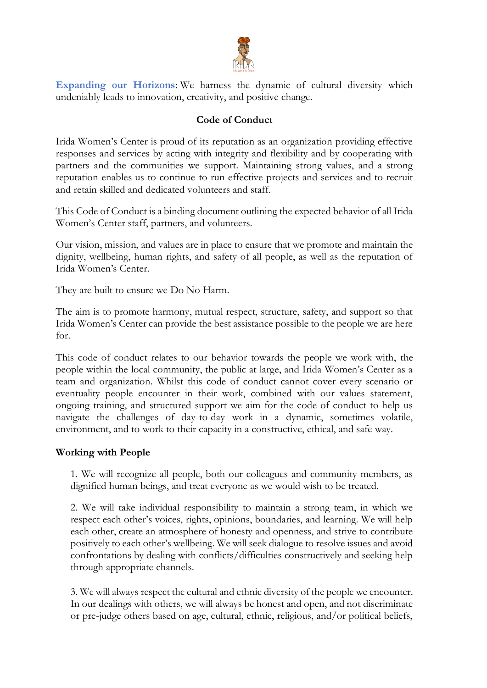

**Expanding our Horizons**: We harness the dynamic of cultural diversity which undeniably leads to innovation, creativity, and positive change.

## **Code of Conduct**

Irida Women's Center is proud of its reputation as an organization providing effective responses and services by acting with integrity and flexibility and by cooperating with partners and the communities we support. Maintaining strong values, and a strong reputation enables us to continue to run effective projects and services and to recruit and retain skilled and dedicated volunteers and staff.

This Code of Conduct is a binding document outlining the expected behavior of all Irida Women's Center staff, partners, and volunteers.

Our vision, mission, and values are in place to ensure that we promote and maintain the dignity, wellbeing, human rights, and safety of all people, as well as the reputation of Irida Women's Center.

They are built to ensure we Do No Harm.

The aim is to promote harmony, mutual respect, structure, safety, and support so that Irida Women's Center can provide the best assistance possible to the people we are here for.

This code of conduct relates to our behavior towards the people we work with, the people within the local community, the public at large, and Irida Women's Center as a team and organization. Whilst this code of conduct cannot cover every scenario or eventuality people encounter in their work, combined with our values statement, ongoing training, and structured support we aim for the code of conduct to help us navigate the challenges of day-to-day work in a dynamic, sometimes volatile, environment, and to work to their capacity in a constructive, ethical, and safe way.

## **Working with People**

1. We will recognize all people, both our colleagues and community members, as dignified human beings, and treat everyone as we would wish to be treated.

2. We will take individual responsibility to maintain a strong team, in which we respect each other's voices, rights, opinions, boundaries, and learning. We will help each other, create an atmosphere of honesty and openness, and strive to contribute positively to each other's wellbeing. We will seek dialogue to resolve issues and avoid confrontations by dealing with conflicts/difficulties constructively and seeking help through appropriate channels.

3. We will always respect the cultural and ethnic diversity of the people we encounter. In our dealings with others, we will always be honest and open, and not discriminate or pre-judge others based on age, cultural, ethnic, religious, and/or political beliefs,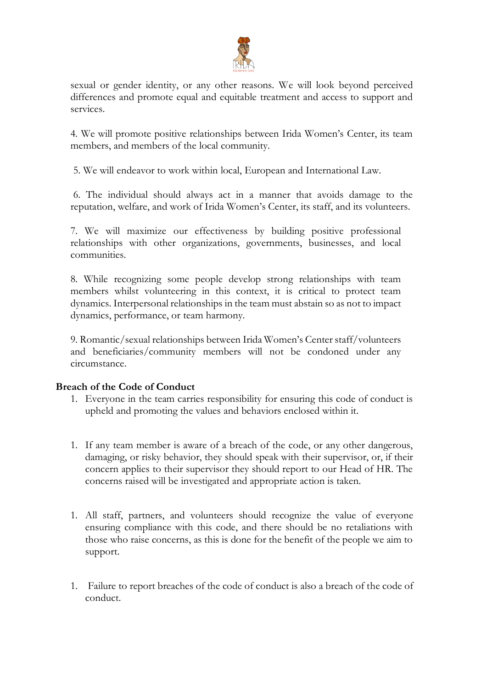

sexual or gender identity, or any other reasons. We will look beyond perceived differences and promote equal and equitable treatment and access to support and services.

4. We will promote positive relationships between Irida Women's Center, its team members, and members of the local community.

5. We will endeavor to work within local, European and International Law.

6. The individual should always act in a manner that avoids damage to the reputation, welfare, and work of Irida Women's Center, its staff, and its volunteers.

7. We will maximize our effectiveness by building positive professional relationships with other organizations, governments, businesses, and local communities.

8. While recognizing some people develop strong relationships with team members whilst volunteering in this context, it is critical to protect team dynamics. Interpersonal relationships in the team must abstain so as not to impact dynamics, performance, or team harmony.

9. Romantic/sexual relationships between Irida Women's Center staff/volunteers and beneficiaries/community members will not be condoned under any circumstance.

## **Breach of the Code of Conduct**

- 1. Everyone in the team carries responsibility for ensuring this code of conduct is upheld and promoting the values and behaviors enclosed within it.
- 1. If any team member is aware of a breach of the code, or any other dangerous, damaging, or risky behavior, they should speak with their supervisor, or, if their concern applies to their supervisor they should report to our Head of HR. The concerns raised will be investigated and appropriate action is taken.
- 1. All staff, partners, and volunteers should recognize the value of everyone ensuring compliance with this code, and there should be no retaliations with those who raise concerns, as this is done for the benefit of the people we aim to support.
- 1. Failure to report breaches of the code of conduct is also a breach of the code of conduct.